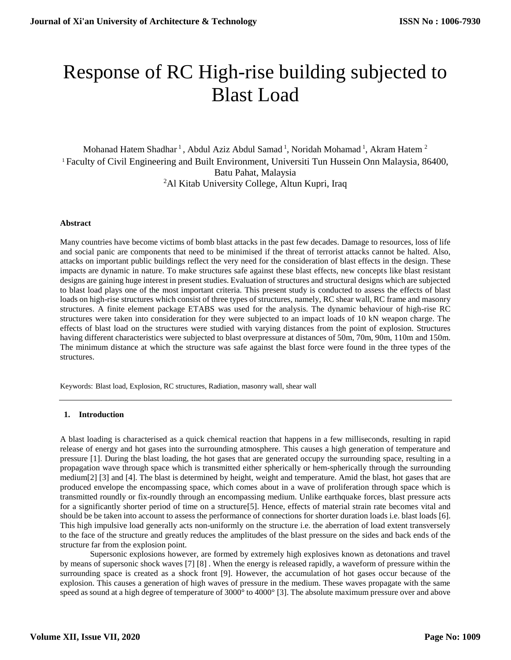# Response of RC High-rise building subjected to Blast Load

Mohanad Hatem Shadhar<sup>1</sup>, Abdul Aziz Abdul Samad<sup>1</sup>, Noridah Mohamad<sup>1</sup>, Akram Hatem<sup>2</sup> <sup>1</sup> Faculty of Civil Engineering and Built Environment, Universiti Tun Hussein Onn Malaysia, 86400, Batu Pahat, Malaysia <sup>2</sup>Al Kitab University College, Altun Kupri, Iraq

#### **Abstract**

Many countries have become victims of bomb blast attacks in the past few decades. Damage to resources, loss of life and social panic are components that need to be minimised if the threat of terrorist attacks cannot be halted. Also, attacks on important public buildings reflect the very need for the consideration of blast effects in the design. These impacts are dynamic in nature. To make structures safe against these blast effects, new concepts like blast resistant designs are gaining huge interest in present studies. Evaluation of structures and structural designs which are subjected to blast load plays one of the most important criteria. This present study is conducted to assess the effects of blast loads on high-rise structures which consist of three types of structures, namely, RC shear wall, RC frame and masonry structures. A finite element package ETABS was used for the analysis. The dynamic behaviour of high-rise RC structures were taken into consideration for they were subjected to an impact loads of 10 kN weapon charge. The effects of blast load on the structures were studied with varying distances from the point of explosion. Structures having different characteristics were subjected to blast overpressure at distances of 50m, 70m, 90m, 110m and 150m. The minimum distance at which the structure was safe against the blast force were found in the three types of the structures.

Keywords: Blast load, Explosion, RC structures, Radiation, masonry wall, shear wall

# **1. Introduction**

A blast loading is characterised as a quick chemical reaction that happens in a few milliseconds, resulting in rapid release of energy and hot gases into the surrounding atmosphere. This causes a high generation of temperature and pressure [1]. During the blast loading, the hot gases that are generated occupy the surrounding space, resulting in a propagation wave through space which is transmitted either spherically or hem-spherically through the surrounding medium[2] [3] and [4]. The blast is determined by height, weight and temperature. Amid the blast, hot gases that are produced envelope the encompassing space, which comes about in a wave of proliferation through space which is transmitted roundly or fix-roundly through an encompassing medium. Unlike earthquake forces, blast pressure acts for a significantly shorter period of time on a structure[5]. Hence, effects of material strain rate becomes vital and should be be taken into account to assess the performance of connections for shorter duration loads i.e. blast loads [6]. This high impulsive load generally acts non-uniformly on the structure i.e. the aberration of load extent transversely to the face of the structure and greatly reduces the amplitudes of the blast pressure on the sides and back ends of the structure far from the explosion point.

Supersonic explosions however, are formed by extremely high explosives known as detonations and travel by means of supersonic shock waves [7] [8] . When the energy is released rapidly, a waveform of pressure within the surrounding space is created as a shock front [9]. However, the accumulation of hot gases occur because of the explosion. This causes a generation of high waves of pressure in the medium. These waves propagate with the same speed as sound at a high degree of temperature of 3000° to 4000° [3]. The absolute maximum pressure over and above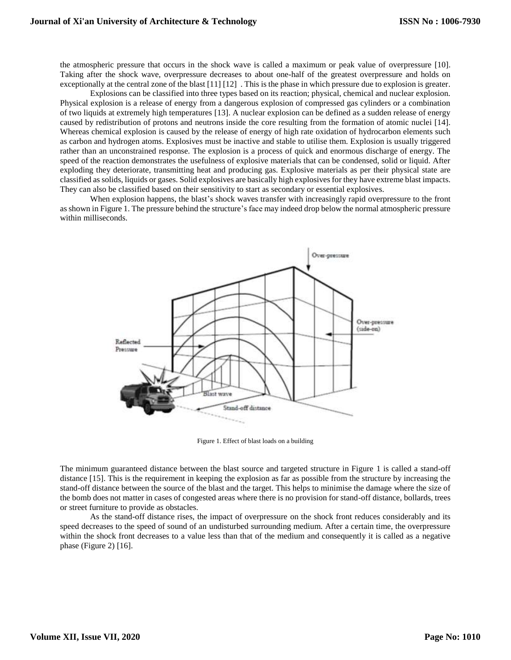the atmospheric pressure that occurs in the shock wave is called a maximum or peak value of overpressure [10]. Taking after the shock wave, overpressure decreases to about one-half of the greatest overpressure and holds on exceptionally at the central zone of the blast [11] [12] . This is the phase in which pressure due to explosion is greater.

Explosions can be classified into three types based on its reaction; physical, chemical and nuclear explosion. Physical explosion is a release of energy from a dangerous explosion of compressed gas cylinders or a combination of two liquids at extremely high temperatures [13]. A nuclear explosion can be defined as a sudden release of energy caused by redistribution of protons and neutrons inside the core resulting from the formation of atomic nuclei [14]. Whereas chemical explosion is caused by the release of energy of high rate oxidation of hydrocarbon elements such as carbon and hydrogen atoms. Explosives must be inactive and stable to utilise them. Explosion is usually triggered rather than an unconstrained response. The explosion is a process of quick and enormous discharge of energy. The speed of the reaction demonstrates the usefulness of explosive materials that can be condensed, solid or liquid. After exploding they deteriorate, transmitting heat and producing gas. Explosive materials as per their physical state are classified as solids, liquids or gases. Solid explosives are basically high explosives for they have extreme blast impacts. They can also be classified based on their sensitivity to start as secondary or essential explosives.

When explosion happens, the blast's shock waves transfer with increasingly rapid overpressure to the front as shown in Figure 1. The pressure behind the structure's face may indeed drop below the normal atmospheric pressure within milliseconds.



Figure 1. Effect of blast loads on a building

The minimum guaranteed distance between the blast source and targeted structure in Figure 1 is called a stand-off distance [15]. This is the requirement in keeping the explosion as far as possible from the structure by increasing the stand-off distance between the source of the blast and the target. This helps to minimise the damage where the size of the bomb does not matter in cases of congested areas where there is no provision for stand-off distance, bollards, trees or street furniture to provide as obstacles.

As the stand-off distance rises, the impact of overpressure on the shock front reduces considerably and its speed decreases to the speed of sound of an undisturbed surrounding medium. After a certain time, the overpressure within the shock front decreases to a value less than that of the medium and consequently it is called as a negative phase (Figure 2) [16].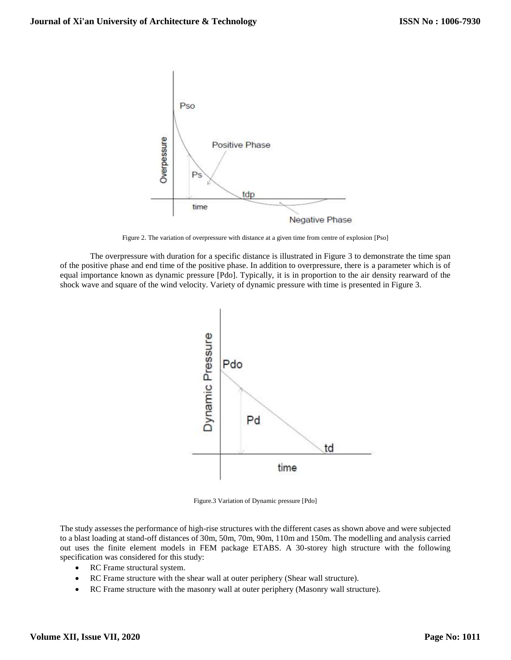

Figure 2. The variation of overpressure with distance at a given time from centre of explosion [Pso]

The overpressure with duration for a specific distance is illustrated in Figure 3 to demonstrate the time span of the positive phase and end time of the positive phase. In addition to overpressure, there is a parameter which is of equal importance known as dynamic pressure [Pdo]. Typically, it is in proportion to the air density rearward of the shock wave and square of the wind velocity. Variety of dynamic pressure with time is presented in Figure 3.



Figure.3 Variation of Dynamic pressure [Pdo]

The study assesses the performance of high-rise structures with the different cases as shown above and were subjected to a blast loading at stand-off distances of 30m, 50m, 70m, 90m, 110m and 150m. The modelling and analysis carried out uses the finite element models in FEM package ETABS. A 30-storey high structure with the following specification was considered for this study:

- RC Frame structural system.
- RC Frame structure with the shear wall at outer periphery (Shear wall structure).
- RC Frame structure with the masonry wall at outer periphery (Masonry wall structure).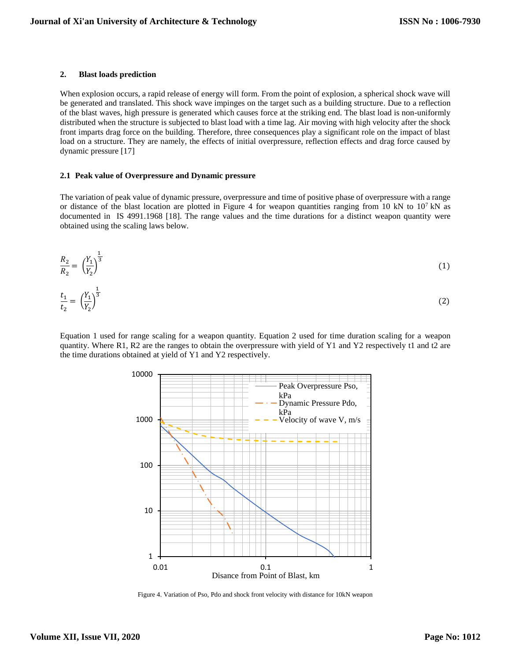#### **2. Blast loads prediction**

When explosion occurs, a rapid release of energy will form. From the point of explosion, a spherical shock wave will be generated and translated. This shock wave impinges on the target such as a building structure. Due to a reflection of the blast waves, high pressure is generated which causes force at the striking end. The blast load is non-uniformly distributed when the structure is subjected to blast load with a time lag. Air moving with high velocity after the shock front imparts drag force on the building. Therefore, three consequences play a significant role on the impact of blast load on a structure. They are namely, the effects of initial overpressure, reflection effects and drag force caused by dynamic pressure [17]

#### **2.1 Peak value of Overpressure and Dynamic pressure**

The variation of peak value of dynamic pressure, overpressure and time of positive phase of overpressure with a range or distance of the blast location are plotted in Figure 4 for weapon quantities ranging from 10 kN to  $10^7$  kN as documented in IS 4991.1968 [18]. The range values and the time durations for a distinct weapon quantity were obtained using the scaling laws below.

$$
\frac{R_2}{R_2} = \left(\frac{Y_1}{Y_2}\right)^{\frac{1}{3}}
$$
\n
$$
\frac{t_1}{t_2} = \left(\frac{Y_1}{Y_2}\right)^{\frac{1}{3}}
$$
\n(1)

Equation 1 used for range scaling for a weapon quantity. Equation 2 used for time duration scaling for a weapon quantity. Where R1, R2 are the ranges to obtain the overpressure with yield of Y1 and Y2 respectively t1 and t2 are the time durations obtained at yield of Y1 and Y2 respectively.



Figure 4. Variation of Pso, Pdo and shock front velocity with distance for 10kN weapon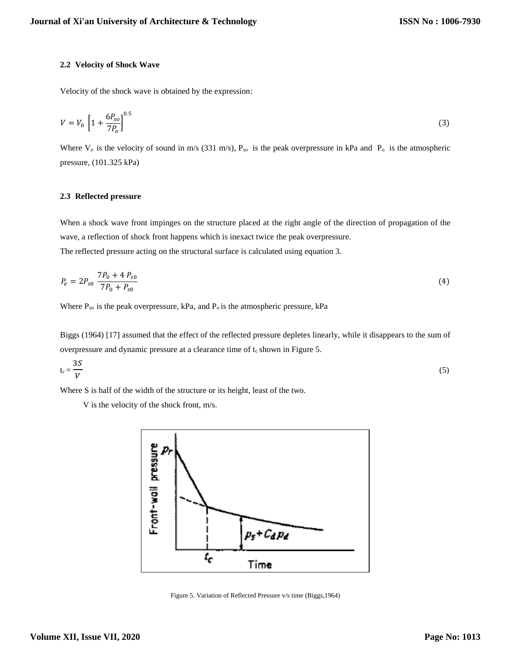## **2.2 Velocity of Shock Wave**

Velocity of the shock wave is obtained by the expression:

$$
V = V_0 \left[ 1 + \frac{6P_{so}}{7P_0} \right]^{0.5}
$$
 (3)

Where  $V_0$  is the velocity of sound in m/s (331 m/s),  $P_{so}$  is the peak overpressure in kPa and  $P_0$  is the atmospheric pressure, (101.325 kPa)

# **2.3 Reflected pressure**

When a shock wave front impinges on the structure placed at the right angle of the direction of propagation of the wave, a reflection of shock front happens which is inexact twice the peak overpressure. The reflected pressure acting on the structural surface is calculated using equation 3.

$$
P_e = 2P_{s0} \frac{7P_0 + 4P_{s0}}{7P_0 + P_{s0}}
$$
\n<sup>(4)</sup>

Where  $P_{so}$  is the peak overpressure, kPa, and  $P_o$  is the atmospheric pressure, kPa

Biggs (1964) [17] assumed that the effect of the reflected pressure depletes linearly, while it disappears to the sum of overpressure and dynamic pressure at a clearance time of  $t_c$  shown in Figure 5.

$$
t_c = \frac{3S}{V} \tag{5}
$$

Where S is half of the width of the structure or its height, least of the two.

V is the velocity of the shock front, m/s.



Figure 5. Variation of Reflected Pressure v/s time (Biggs,1964)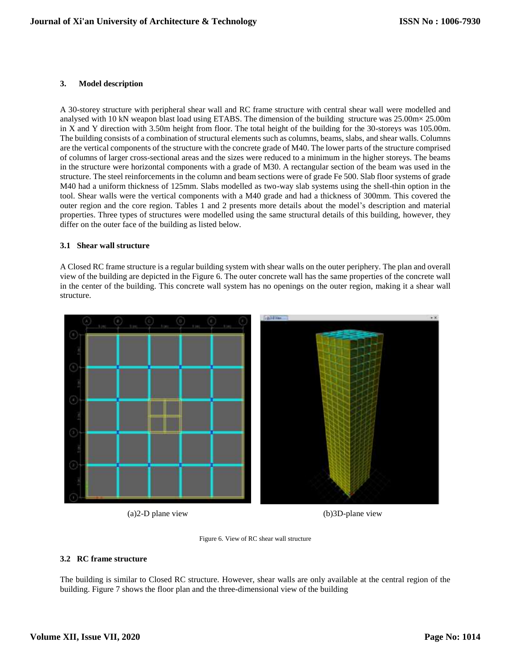# **3. Model description**

A 30-storey structure with peripheral shear wall and RC frame structure with central shear wall were modelled and analysed with 10 kN weapon blast load using ETABS. The dimension of the building structure was 25.00m× 25.00m in X and Y direction with 3.50m height from floor. The total height of the building for the 30-storeys was 105.00m. The building consists of a combination of structural elements such as columns, beams, slabs, and shear walls. Columns are the vertical components of the structure with the concrete grade of M40. The lower parts of the structure comprised of columns of larger cross-sectional areas and the sizes were reduced to a minimum in the higher storeys. The beams in the structure were horizontal components with a grade of M30. A rectangular section of the beam was used in the structure. The steel reinforcements in the column and beam sections were of grade Fe 500. Slab floor systems of grade M40 had a uniform thickness of 125mm. Slabs modelled as two-way slab systems using the shell-thin option in the tool. Shear walls were the vertical components with a M40 grade and had a thickness of 300mm. This covered the outer region and the core region. Tables 1 and 2 presents more details about the model's description and material properties. Three types of structures were modelled using the same structural details of this building, however, they differ on the outer face of the building as listed below.

#### **3.1 Shear wall structure**

A Closed RC frame structure is a regular building system with shear walls on the outer periphery. The plan and overall view of the building are depicted in the Figure 6. The outer concrete wall has the same properties of the concrete wall in the center of the building. This concrete wall system has no openings on the outer region, making it a shear wall structure.



(a)2-D plane view (b)3D-plane view



# **3.2 RC frame structure**

The building is similar to Closed RC structure. However, shear walls are only available at the central region of the building. Figure 7 shows the floor plan and the three-dimensional view of the building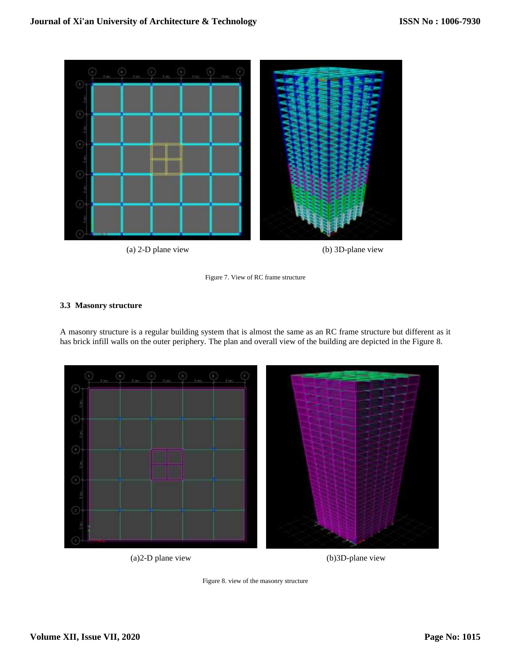

(a) 2-D plane view (b) 3D-plane view

Figure 7. View of RC frame structure

# **3.3 Masonry structure**

A masonry structure is a regular building system that is almost the same as an RC frame structure but different as it has brick infill walls on the outer periphery. The plan and overall view of the building are depicted in the Figure 8.



(a)2-D plane view (b)3D-plane view

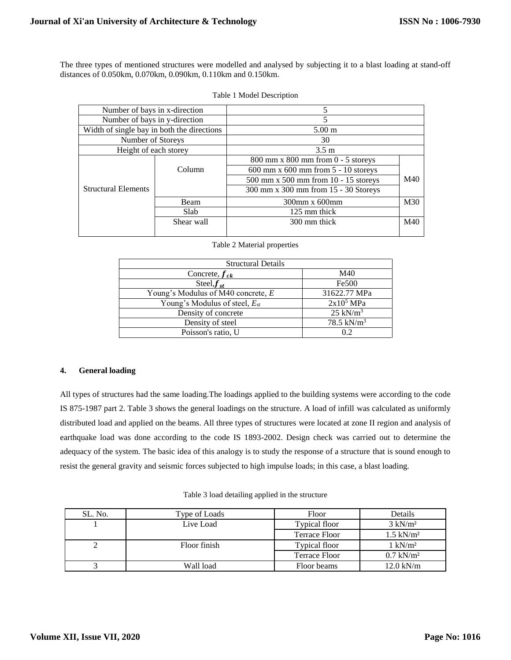The three types of mentioned structures were modelled and analysed by subjecting it to a blast loading at stand-off distances of 0.050km, 0.070km, 0.090km, 0.110km and 0.150km.

| Number of bays in x-direction              |                            | 5                                          |     |  |
|--------------------------------------------|----------------------------|--------------------------------------------|-----|--|
| Number of bays in y-direction              |                            | 5                                          |     |  |
| Width of single bay in both the directions |                            | $5.00 \text{ m}$                           |     |  |
| Number of Storeys                          |                            | 30                                         |     |  |
| Height of each storey                      |                            | $3.5 \text{ m}$                            |     |  |
|                                            |                            | $800$ mm x $800$ mm from $0 - 5$ storeys   |     |  |
|                                            | Column                     | $600$ mm x $600$ mm from $5 - 10$ storeys  |     |  |
|                                            |                            | $500$ mm x $500$ mm from $10 - 15$ storeys | M40 |  |
| <b>Structural Elements</b>                 |                            | 300 mm x 300 mm from 15 - 30 Storeys       |     |  |
|                                            | Beam                       | 300mm x 600mm                              | M30 |  |
|                                            | Slab                       | 125 mm thick                               |     |  |
|                                            | Shear wall<br>300 mm thick |                                            | M40 |  |
|                                            |                            |                                            |     |  |

|  | Table 1 Model Description |  |  |
|--|---------------------------|--|--|
|--|---------------------------|--|--|

Table 2 Material properties

| <b>Structural Details</b>          |                        |
|------------------------------------|------------------------|
| Concrete, $f_{ck}$                 | M40                    |
| Steel, $f_{st}$                    | Fe500                  |
| Young's Modulus of M40 concrete, E | 31622.77 MPa           |
| Young's Modulus of steel, $E_{st}$ | 2x10 <sup>5</sup> MPa  |
| Density of concrete                | $25$ kN/m <sup>3</sup> |
| Density of steel                   | 78.5 kN/ $m^3$         |
| Poisson's ratio, U                 | 02                     |

# **4. General loading**

All types of structures had the same loading.The loadings applied to the building systems were according to the code IS 875-1987 part 2. Table 3 shows the general loadings on the structure. A load of infill was calculated as uniformly distributed load and applied on the beams. All three types of structures were located at zone II region and analysis of earthquake load was done according to the code IS 1893-2002. Design check was carried out to determine the adequacy of the system. The basic idea of this analogy is to study the response of a structure that is sound enough to resist the general gravity and seismic forces subjected to high impulse loads; in this case, a blast loading.

| Table 3 load detailing applied in the structure |  |  |
|-------------------------------------------------|--|--|
|-------------------------------------------------|--|--|

| SL. No. | Type of Loads | Floor         | Details              |
|---------|---------------|---------------|----------------------|
|         | Live Load     | Typical floor | $3 \text{ kN/m}^2$   |
|         |               | Terrace Floor | $1.5 \text{ kN/m}^2$ |
| ↩       | Floor finish  | Typical floor | $1 \text{ kN/m}^2$   |
|         |               | Terrace Floor | $0.7 \text{ kN/m}^2$ |
|         | Wall load     | Floor beams   | $12.0$ kN/m          |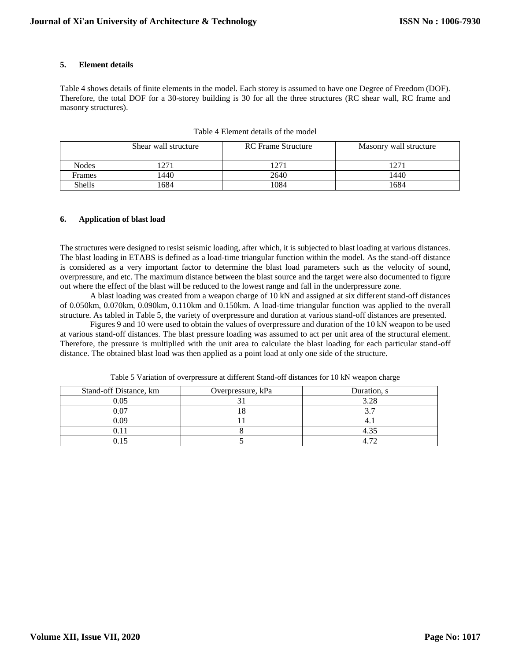## **5. Element details**

Table 4 shows details of finite elements in the model. Each storey is assumed to have one Degree of Freedom (DOF). Therefore, the total DOF for a 30-storey building is 30 for all the three structures (RC shear wall, RC frame and masonry structures).

|               | Shear wall structure | <b>RC</b> Frame Structure | Masonry wall structure |
|---------------|----------------------|---------------------------|------------------------|
| <b>Nodes</b>  | 271                  | 1271                      | n מ                    |
| Frames        | 1440                 | 2640                      | 1440                   |
| <b>Shells</b> | 1684                 | 1084                      | 1684                   |

Table 4 Element details of the model

#### **6. Application of blast load**

The structures were designed to resist seismic loading, after which, it is subjected to blast loading at various distances. The blast loading in ETABS is defined as a load-time triangular function within the model. As the stand-off distance is considered as a very important factor to determine the blast load parameters such as the velocity of sound, overpressure, and etc. The maximum distance between the blast source and the target were also documented to figure out where the effect of the blast will be reduced to the lowest range and fall in the underpressure zone.

A blast loading was created from a weapon charge of 10 kN and assigned at six different stand-off distances of 0.050km, 0.070km, 0.090km, 0.110km and 0.150km. A load-time triangular function was applied to the overall structure. As tabled in Table 5, the variety of overpressure and duration at various stand-off distances are presented.

Figures 9 and 10 were used to obtain the values of overpressure and duration of the 10 kN weapon to be used at various stand-off distances. The blast pressure loading was assumed to act per unit area of the structural element. Therefore, the pressure is multiplied with the unit area to calculate the blast loading for each particular stand-off distance. The obtained blast load was then applied as a point load at only one side of the structure.

| Stand-off Distance, km | Overpressure, kPa | Duration, s |
|------------------------|-------------------|-------------|
| 0.05                   |                   | 3.28        |
| 0.07                   |                   |             |
| 0.09                   |                   |             |
|                        |                   |             |
|                        |                   |             |

Table 5 Variation of overpressure at different Stand-off distances for 10 kN weapon charge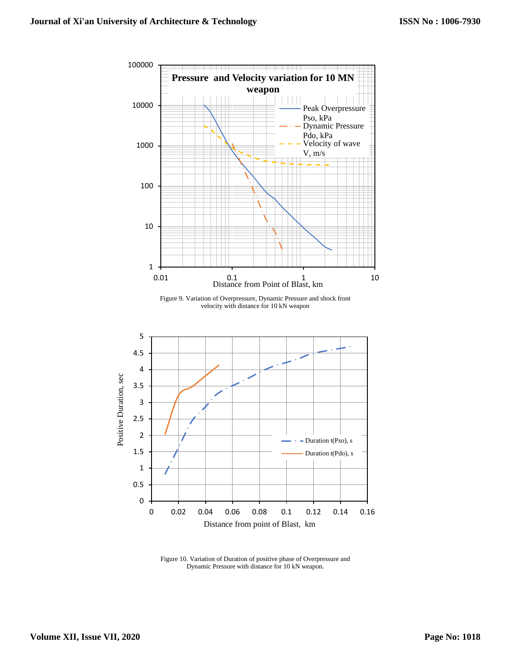

Figure 10. Variation of Duration of positive phase of Overpressure and Dynamic Pressure with distance for 10 kN weapon.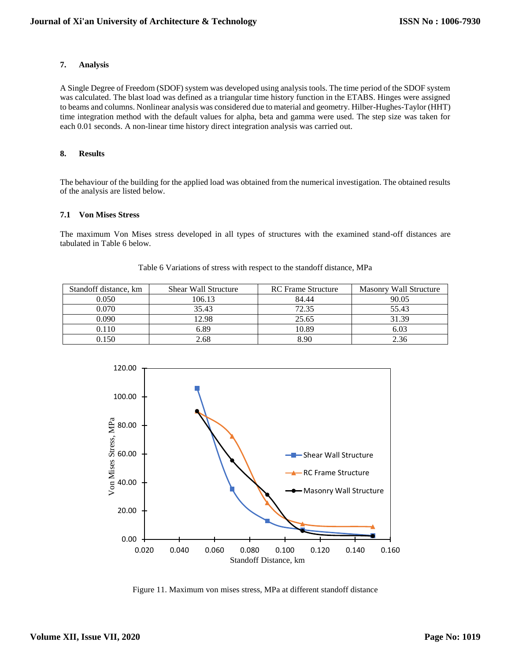# **7. Analysis**

A Single Degree of Freedom (SDOF) system was developed using analysis tools. The time period of the SDOF system was calculated. The blast load was defined as a triangular time history function in the ETABS. Hinges were assigned to beams and columns. Nonlinear analysis was considered due to material and geometry. Hilber-Hughes-Taylor (HHT) time integration method with the default values for alpha, beta and gamma were used. The step size was taken for each 0.01 seconds. A non-linear time history direct integration analysis was carried out.

# **8. Results**

The behaviour of the building for the applied load was obtained from the numerical investigation. The obtained results of the analysis are listed below.

# **7.1 Von Mises Stress**

The maximum Von Mises stress developed in all types of structures with the examined stand-off distances are tabulated in Table 6 below.

| Standoff distance, km | <b>Shear Wall Structure</b> | <b>RC</b> Frame Structure | Masonry Wall Structure |
|-----------------------|-----------------------------|---------------------------|------------------------|
| 0.050                 | 106.13                      | 84.44                     | 90.05                  |
| 0.070                 | 35.43                       | 72.35                     | 55.43                  |
| 0.090                 | 12.98                       | 25.65                     | 31.39                  |
| 0.110                 | 6.89                        | 10.89                     | 6.03                   |
| 0.150                 | 2.68                        | 8.90                      | 2.36                   |

#### Table 6 Variations of stress with respect to the standoff distance, MPa



Figure 11. Maximum von mises stress, MPa at different standoff distance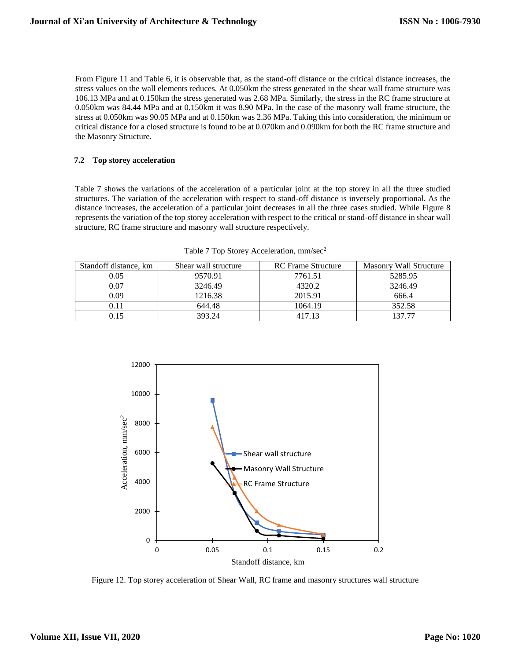From Figure 11 and Table 6, it is observable that, as the stand-off distance or the critical distance increases, the stress values on the wall elements reduces. At 0.050km the stress generated in the shear wall frame structure was 106.13 MPa and at 0.150km the stress generated was 2.68 MPa. Similarly, the stress in the RC frame structure at 0.050km was 84.44 MPa and at 0.150km it was 8.90 MPa. In the case of the masonry wall frame structure, the stress at 0.050km was 90.05 MPa and at 0.150km was 2.36 MPa. Taking this into consideration, the minimum or critical distance for a closed structure is found to be at 0.070km and 0.090km for both the RC frame structure and the Masonry Structure.

# **7.2 Top storey acceleration**

Table 7 shows the variations of the acceleration of a particular joint at the top storey in all the three studied structures. The variation of the acceleration with respect to stand-off distance is inversely proportional. As the distance increases, the acceleration of a particular joint decreases in all the three cases studied. While Figure 8 represents the variation of the top storey acceleration with respect to the critical or stand-off distance in shear wall structure, RC frame structure and masonry wall structure respectively.

| Standoff distance, km | Shear wall structure | <b>RC</b> Frame Structure | Masonry Wall Structure |
|-----------------------|----------------------|---------------------------|------------------------|
| 0.05                  | 9570.91              | 7761.51                   | 5285.95                |
| 0.07                  | 3246.49              | 4320.2                    | 3246.49                |
| 0.09                  | 1216.38              | 2015.91                   | 666.4                  |
| 0.11                  | 644.48               | 1064.19                   | 352.58                 |
|                       | 393.24               | 417 13                    | 137 77                 |

| Table 7 Top Storey Acceleration, mm/sec <sup>2</sup> |  |
|------------------------------------------------------|--|
|------------------------------------------------------|--|



Figure 12. Top storey acceleration of Shear Wall, RC frame and masonry structures wall structure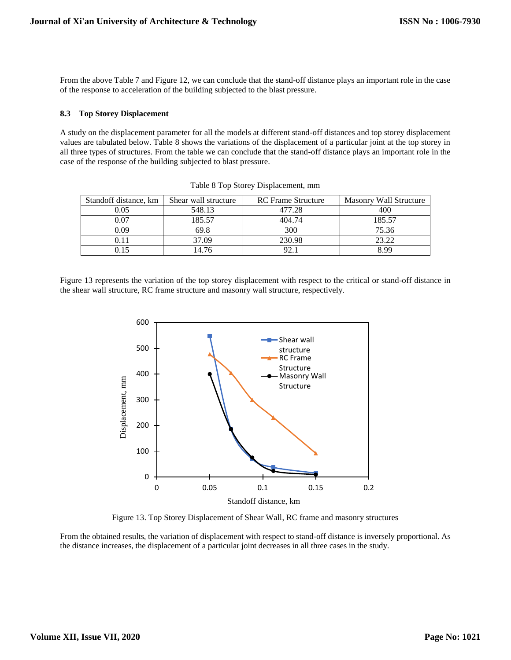From the above Table 7 and Figure 12, we can conclude that the stand-off distance plays an important role in the case of the response to acceleration of the building subjected to the blast pressure.

#### **8.3 Top Storey Displacement**

A study on the displacement parameter for all the models at different stand-off distances and top storey displacement values are tabulated below. Table 8 shows the variations of the displacement of a particular joint at the top storey in all three types of structures. From the table we can conclude that the stand-off distance plays an important role in the case of the response of the building subjected to blast pressure.

| Standoff distance, km | Shear wall structure | <b>RC</b> Frame Structure | Masonry Wall Structure |
|-----------------------|----------------------|---------------------------|------------------------|
| 0.05                  | 548.13               | 477.28                    | 400                    |
| 0.07                  | 185.57               | 404.74                    | 185.57                 |
| 0.09                  | 69.8                 | 300                       | 75.36                  |
| 0.11                  | 37.09                | 230.98                    | 23.22                  |
| 0.15                  | 4.76                 | 92.                       | 8.00                   |

Table 8 Top Storey Displacement, mm

Figure 13 represents the variation of the top storey displacement with respect to the critical or stand-off distance in the shear wall structure, RC frame structure and masonry wall structure, respectively.



Figure 13. Top Storey Displacement of Shear Wall, RC frame and masonry structures

From the obtained results, the variation of displacement with respect to stand-off distance is inversely proportional. As the distance increases, the displacement of a particular joint decreases in all three cases in the study.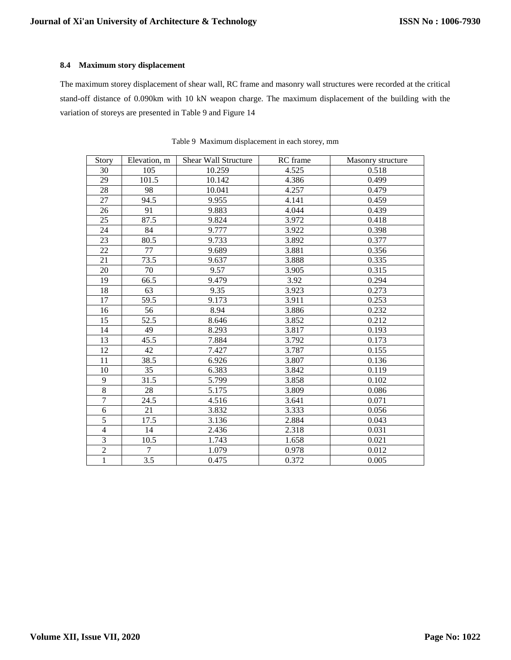### **8.4 Maximum story displacement**

The maximum storey displacement of shear wall, RC frame and masonry wall structures were recorded at the critical stand-off distance of 0.090km with 10 kN weapon charge. The maximum displacement of the building with the variation of storeys are presented in Table 9 and Figure 14

| Story          | Elevation, m     | <b>Shear Wall Structure</b> | RC frame | Masonry structure |
|----------------|------------------|-----------------------------|----------|-------------------|
| 30             | 105              | 10.259                      | 4.525    | 0.518             |
| 29             | 101.5            | 10.142                      | 4.386    | 0.499             |
| 28             | 98               | 10.041                      | 4.257    | 0.479             |
| 27             | 94.5             | 9.955                       | 4.141    | 0.459             |
| 26             | 91               | 9.883                       | 4.044    | 0.439             |
| 25             | 87.5             | 9.824                       | 3.972    | 0.418             |
| 24             | 84               | 9.777                       | 3.922    | 0.398             |
| 23             | 80.5             | 9.733                       | 3.892    | 0.377             |
| 22             | 77               | 9.689                       | 3.881    | 0.356             |
| 21             | 73.5             | 9.637                       | 3.888    | 0.335             |
| 20             | 70               | 9.57                        | 3.905    | 0.315             |
| 19             | 66.5             | 9.479                       | 3.92     | 0.294             |
| 18             | 63               | 9.35                        | 3.923    | 0.273             |
| 17             | 59.5             | 9.173                       | 3.911    | 0.253             |
| 16             | 56               | 8.94                        | 3.886    | 0.232             |
| 15             | 52.5             | 8.646                       | 3.852    | 0.212             |
| 14             | 49               | 8.293                       | 3.817    | 0.193             |
| 13             | 45.5             | 7.884                       | 3.792    | 0.173             |
| 12             | 42               | 7.427                       | 3.787    | 0.155             |
| 11             | 38.5             | 6.926                       | 3.807    | 0.136             |
| 10             | 35               | 6.383                       | 3.842    | 0.119             |
| $\overline{9}$ | 31.5             | 5.799                       | 3.858    | 0.102             |
| $\overline{8}$ | 28               | 5.175                       | 3.809    | 0.086             |
| $\overline{7}$ | 24.5             | 4.516                       | 3.641    | 0.071             |
| $\overline{6}$ | 21               | 3.832                       | 3.333    | 0.056             |
| $\overline{5}$ | 17.5             | 3.136                       | 2.884    | 0.043             |
| $\overline{4}$ | 14               | 2.436                       | 2.318    | 0.031             |
| $\overline{3}$ | 10.5             | 1.743                       | 1.658    | 0.021             |
| $\overline{2}$ | $\tau$           | 1.079                       | 0.978    | 0.012             |
| $\overline{1}$ | $\overline{3.5}$ | 0.475                       | 0.372    | 0.005             |

Table 9 Maximum displacement in each storey, mm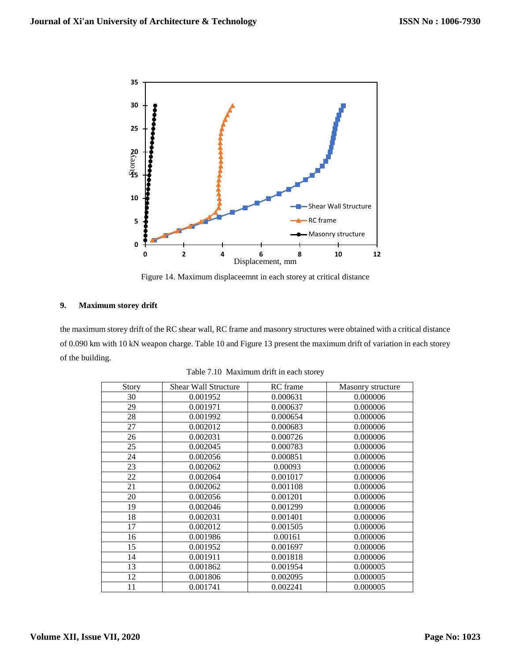

Figure 14. Maximum displaceemnt in each storey at critical distance

## **9. Maximum storey drift**

the maximum storey drift of the RC shear wall, RC frame and masonry structures were obtained with a critical distance of 0.090 km with 10 kN weapon charge. Table 10 and Figure 13 present the maximum drift of variation in each storey of the building.

| Story | <b>Shear Wall Structure</b> | RC frame | Masonry structure |
|-------|-----------------------------|----------|-------------------|
| 30    | 0.001952                    | 0.000631 | 0.000006          |
| 29    | 0.001971                    | 0.000637 | 0.000006          |
| 28    | 0.001992                    | 0.000654 | 0.000006          |
| 27    | 0.002012                    | 0.000683 | 0.000006          |
| 26    | 0.002031                    | 0.000726 | 0.000006          |
| 25    | 0.002045                    | 0.000783 | 0.000006          |
| 24    | 0.002056                    | 0.000851 | 0.000006          |
| 23    | 0.002062                    | 0.00093  | 0.000006          |
| 22    | 0.002064                    | 0.001017 | 0.000006          |
| 21    | 0.002062                    | 0.001108 | 0.000006          |
| 20    | 0.002056                    | 0.001201 | 0.000006          |
| 19    | 0.002046                    | 0.001299 | 0.000006          |
| 18    | 0.002031                    | 0.001401 | 0.000006          |
| 17    | 0.002012                    | 0.001505 | 0.000006          |
| 16    | 0.001986                    | 0.00161  | 0.000006          |
| 15    | 0.001952                    | 0.001697 | 0.000006          |
| 14    | 0.001911                    | 0.001818 | 0.000006          |
| 13    | 0.001862                    | 0.001954 | 0.000005          |
| 12    | 0.001806                    | 0.002095 | 0.000005          |
| 11    | 0.001741                    | 0.002241 | 0.000005          |

Table 7.10 Maximum drift in each storey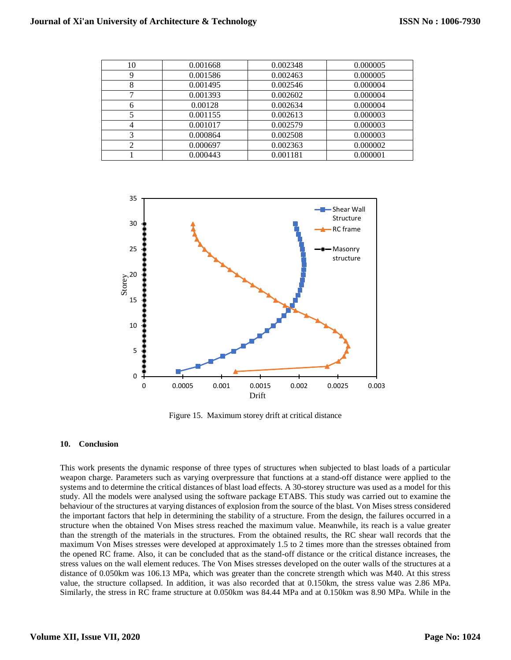| 10 | 0.001668 | 0.002348 | 0.000005 |
|----|----------|----------|----------|
|    | 0.001586 | 0.002463 | 0.000005 |
| 8  | 0.001495 | 0.002546 | 0.000004 |
|    | 0.001393 | 0.002602 | 0.000004 |
| 6  | 0.00128  | 0.002634 | 0.000004 |
|    | 0.001155 | 0.002613 | 0.000003 |
| 4  | 0.001017 | 0.002579 | 0.000003 |
| 3  | 0.000864 | 0.002508 | 0.000003 |
| ↑  | 0.000697 | 0.002363 | 0.000002 |
|    | 0.000443 | 0.001181 | 0.000001 |



Figure 15. Maximum storey drift at critical distance

#### **10. Conclusion**

This work presents the dynamic response of three types of structures when subjected to blast loads of a particular weapon charge. Parameters such as varying overpressure that functions at a stand-off distance were applied to the systems and to determine the critical distances of blast load effects. A 30-storey structure was used as a model for this study. All the models were analysed using the software package ETABS. This study was carried out to examine the behaviour of the structures at varying distances of explosion from the source of the blast. Von Mises stress considered the important factors that help in determining the stability of a structure. From the design, the failures occurred in a structure when the obtained Von Mises stress reached the maximum value. Meanwhile, its reach is a value greater than the strength of the materials in the structures. From the obtained results, the RC shear wall records that the maximum Von Mises stresses were developed at approximately 1.5 to 2 times more than the stresses obtained from the opened RC frame. Also, it can be concluded that as the stand-off distance or the critical distance increases, the stress values on the wall element reduces. The Von Mises stresses developed on the outer walls of the structures at a distance of 0.050km was 106.13 MPa, which was greater than the concrete strength which was M40. At this stress value, the structure collapsed. In addition, it was also recorded that at 0.150km, the stress value was 2.86 MPa. Similarly, the stress in RC frame structure at 0.050km was 84.44 MPa and at 0.150km was 8.90 MPa. While in the